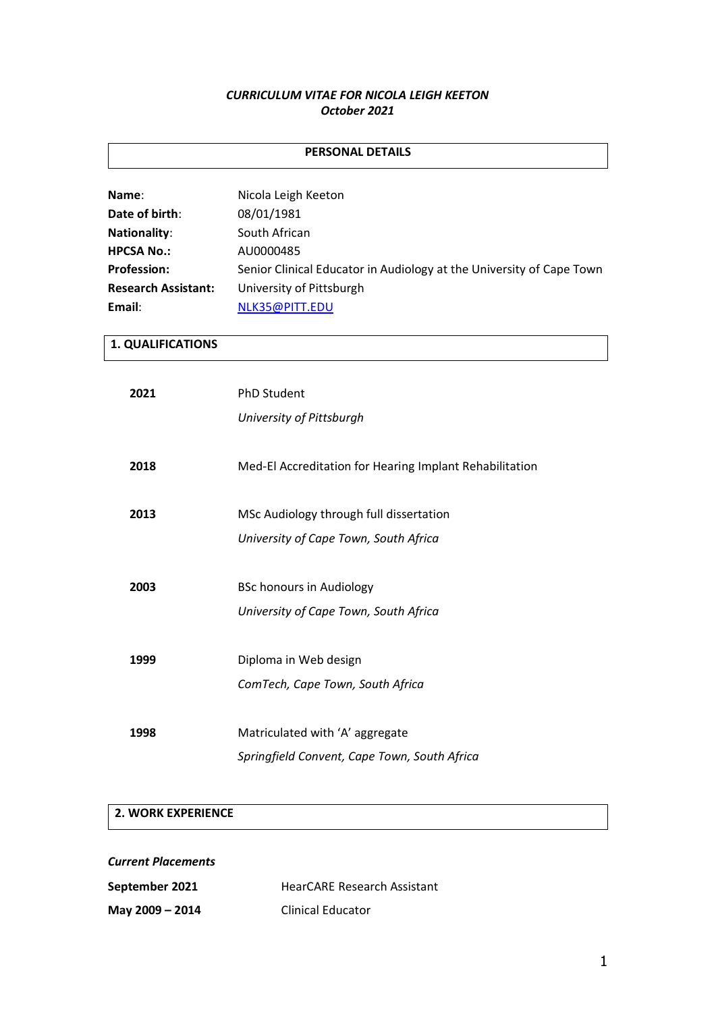# *CURRICULUM VITAE FOR NICOLA LEIGH KEETON October 2021*

## **PERSONAL DETAILS**

| Name:                      | Nicola Leigh Keeton                                                  |
|----------------------------|----------------------------------------------------------------------|
| Date of birth:             | 08/01/1981                                                           |
| <b>Nationality:</b>        | South African                                                        |
| <b>HPCSA No.:</b>          | AU0000485                                                            |
| <b>Profession:</b>         | Senior Clinical Educator in Audiology at the University of Cape Town |
| <b>Research Assistant:</b> | University of Pittsburgh                                             |
| Email:                     | NLK35@PITT.EDU                                                       |

# **1. QUALIFICATIONS**

| 2021 | <b>PhD Student</b>                                      |
|------|---------------------------------------------------------|
|      | University of Pittsburgh                                |
| 2018 | Med-El Accreditation for Hearing Implant Rehabilitation |
| 2013 | MSc Audiology through full dissertation                 |
|      | University of Cape Town, South Africa                   |
|      |                                                         |
| 2003 | <b>BSc honours in Audiology</b>                         |
|      | University of Cape Town, South Africa                   |
|      |                                                         |
| 1999 | Diploma in Web design                                   |
|      | ComTech, Cape Town, South Africa                        |
|      |                                                         |
| 1998 | Matriculated with 'A' aggregate                         |
|      | Springfield Convent, Cape Town, South Africa            |

# **2. WORK EXPERIENCE**

*Current Placements*

| September 2021  | <b>HearCARE Research Assistant</b> |
|-----------------|------------------------------------|
| May 2009 - 2014 | <b>Clinical Educator</b>           |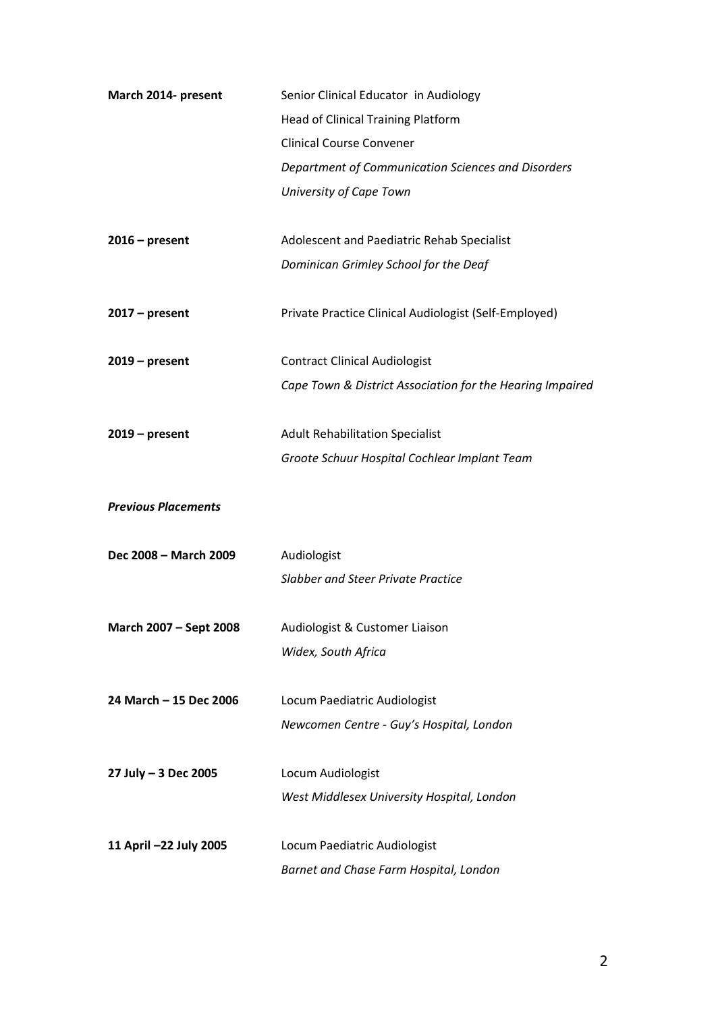| March 2014- present        | Senior Clinical Educator in Audiology                                  |
|----------------------------|------------------------------------------------------------------------|
|                            | <b>Head of Clinical Training Platform</b>                              |
|                            | <b>Clinical Course Convener</b>                                        |
|                            | Department of Communication Sciences and Disorders                     |
|                            | University of Cape Town                                                |
|                            |                                                                        |
| $2016$ – present           | Adolescent and Paediatric Rehab Specialist                             |
|                            | Dominican Grimley School for the Deaf                                  |
| $2017 - present$           | Private Practice Clinical Audiologist (Self-Employed)                  |
|                            |                                                                        |
| $2019$ – present           | <b>Contract Clinical Audiologist</b>                                   |
|                            | Cape Town & District Association for the Hearing Impaired              |
| $2019$ – present           | <b>Adult Rehabilitation Specialist</b>                                 |
|                            | Groote Schuur Hospital Cochlear Implant Team                           |
|                            |                                                                        |
| <b>Previous Placements</b> |                                                                        |
| Dec 2008 - March 2009      | Audiologist                                                            |
|                            |                                                                        |
|                            | Slabber and Steer Private Practice                                     |
|                            |                                                                        |
| March 2007 – Sept 2008     | Audiologist & Customer Liaison                                         |
|                            | Widex, South Africa                                                    |
| 24 March - 15 Dec 2006     | Locum Paediatric Audiologist                                           |
|                            | Newcomen Centre - Guy's Hospital, London                               |
| 27 July - 3 Dec 2005       | Locum Audiologist                                                      |
|                            | West Middlesex University Hospital, London                             |
|                            |                                                                        |
| 11 April -22 July 2005     | Locum Paediatric Audiologist<br>Barnet and Chase Farm Hospital, London |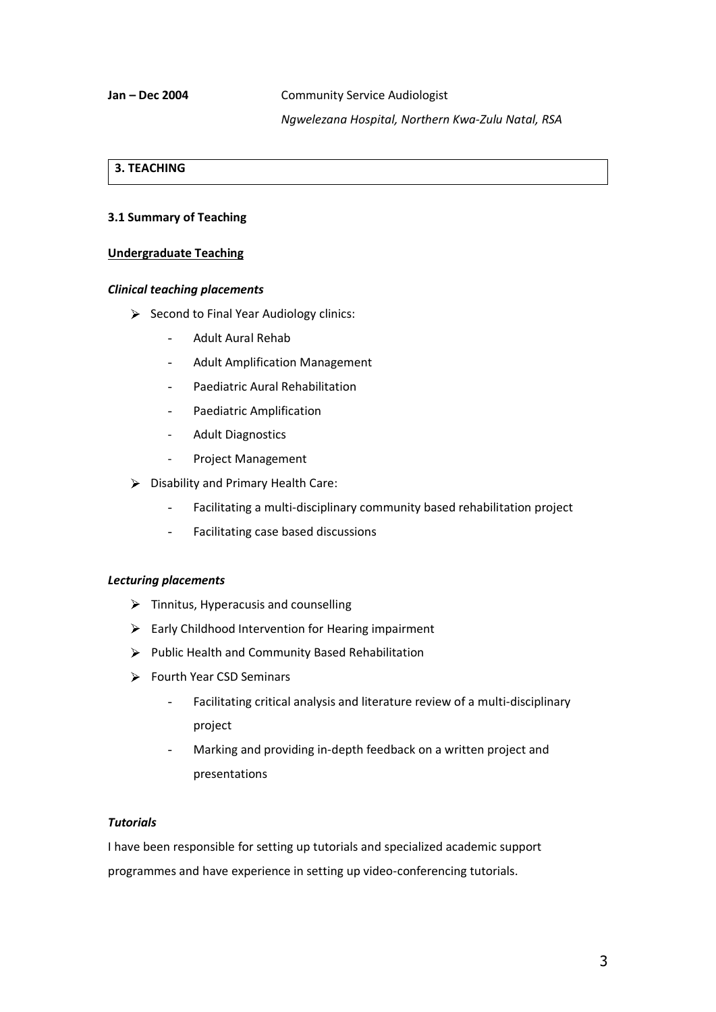# **3. TEACHING**

## **3.1 Summary of Teaching**

### **Undergraduate Teaching**

### *Clinical teaching placements*

- $\triangleright$  Second to Final Year Audiology clinics:
	- Adult Aural Rehab
	- Adult Amplification Management
	- Paediatric Aural Rehabilitation
	- Paediatric Amplification
	- Adult Diagnostics
	- Project Management
- ▶ Disability and Primary Health Care:
	- Facilitating a multi-disciplinary community based rehabilitation project
	- Facilitating case based discussions

#### *Lecturing placements*

- $\triangleright$  Tinnitus, Hyperacusis and counselling
- $\triangleright$  Early Childhood Intervention for Hearing impairment
- $\triangleright$  Public Health and Community Based Rehabilitation
- Fourth Year CSD Seminars
	- Facilitating critical analysis and literature review of a multi-disciplinary project
	- Marking and providing in-depth feedback on a written project and presentations

# *Tutorials*

I have been responsible for setting up tutorials and specialized academic support programmes and have experience in setting up video-conferencing tutorials.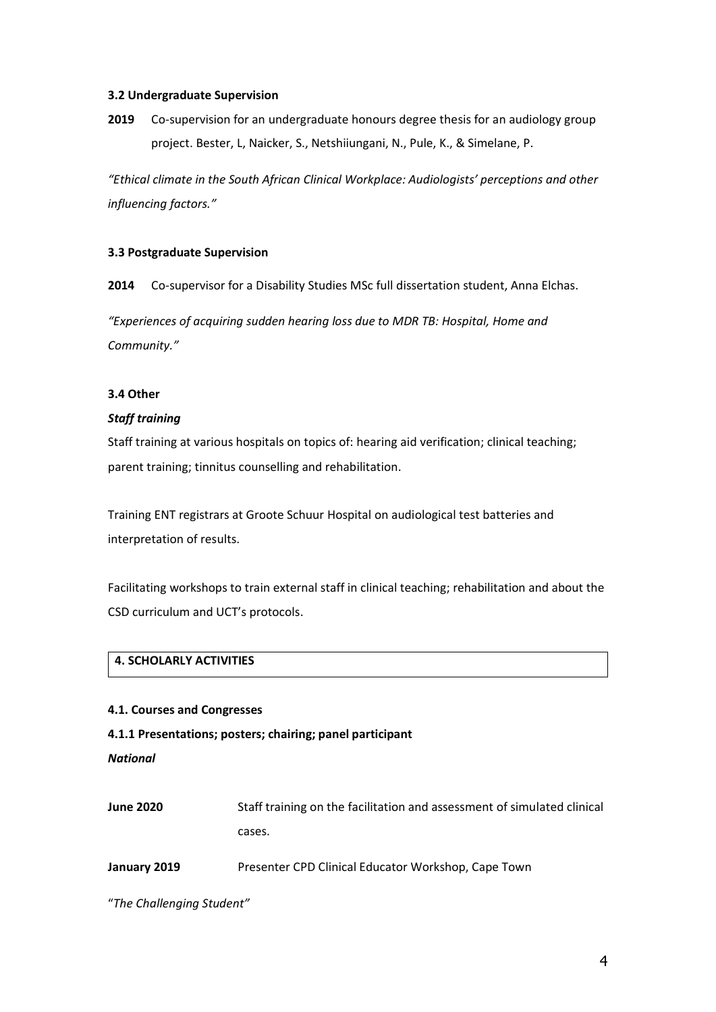#### **3.2 Undergraduate Supervision**

**2019** Co-supervision for an undergraduate honours degree thesis for an audiology group project. Bester, L, Naicker, S., Netshiiungani, N., Pule, K., & Simelane, P.

*"Ethical climate in the South African Clinical Workplace: Audiologists' perceptions and other influencing factors."*

### **3.3 Postgraduate Supervision**

**2014** Co-supervisor for a Disability Studies MSc full dissertation student, Anna Elchas.

*"Experiences of acquiring sudden hearing loss due to MDR TB: Hospital, Home and Community."*

### **3.4 Other**

### *Staff training*

Staff training at various hospitals on topics of: hearing aid verification; clinical teaching; parent training; tinnitus counselling and rehabilitation.

Training ENT registrars at Groote Schuur Hospital on audiological test batteries and interpretation of results.

Facilitating workshops to train external staff in clinical teaching; rehabilitation and about the CSD curriculum and UCT's protocols.

# **4. SCHOLARLY ACTIVITIES**

#### **4.1. Courses and Congresses**

## **4.1.1 Presentations; posters; chairing; panel participant**

*National*

**June 2020** Staff training on the facilitation and assessment of simulated clinical cases.

**January 2019** Presenter CPD Clinical Educator Workshop, Cape Town

"*The Challenging Student"*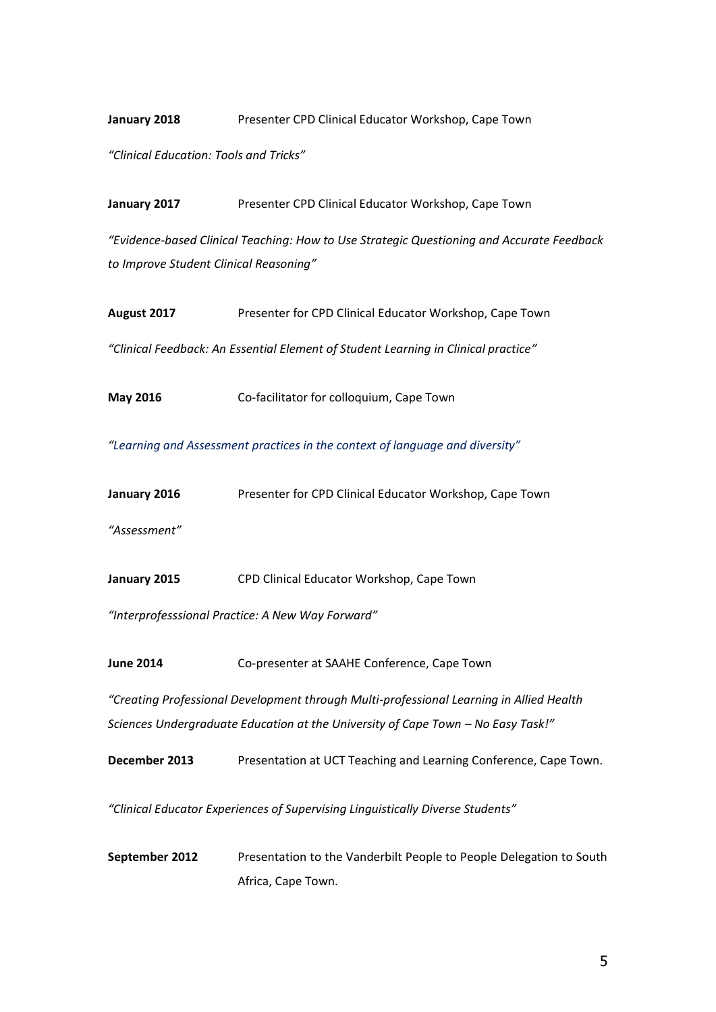**January 2018** Presenter CPD Clinical Educator Workshop, Cape Town *"Clinical Education: Tools and Tricks"*

**January 2017** Presenter CPD Clinical Educator Workshop, Cape Town

*"Evidence-based Clinical Teaching: How to Use Strategic Questioning and Accurate Feedback to Improve Student Clinical Reasoning"*

**August 2017** Presenter for CPD Clinical Educator Workshop, Cape Town

*"Clinical Feedback: An Essential Element of Student Learning in Clinical practice"*

**May 2016** Co-facilitator for colloquium, Cape Town

*"Learning and Assessment practices in the context of language and diversity"*

| January 2016 | Presenter for CPD Clinical Educator Workshop, Cape Town |  |
|--------------|---------------------------------------------------------|--|
|              |                                                         |  |

*"Assessment"*

**January 2015** CPD Clinical Educator Workshop, Cape Town

*"Interprofesssional Practice: A New Way Forward"*

**June 2014** Co-presenter at SAAHE Conference, Cape Town

*"Creating Professional Development through Multi-professional Learning in Allied Health Sciences Undergraduate Education at the University of Cape Town - No Easy Task!"* 

**December 2013** Presentation at UCT Teaching and Learning Conference, Cape Town.

*"Clinical Educator Experiences of Supervising Linguistically Diverse Students"*

**September 2012** Presentation to the Vanderbilt People to People Delegation to South Africa, Cape Town.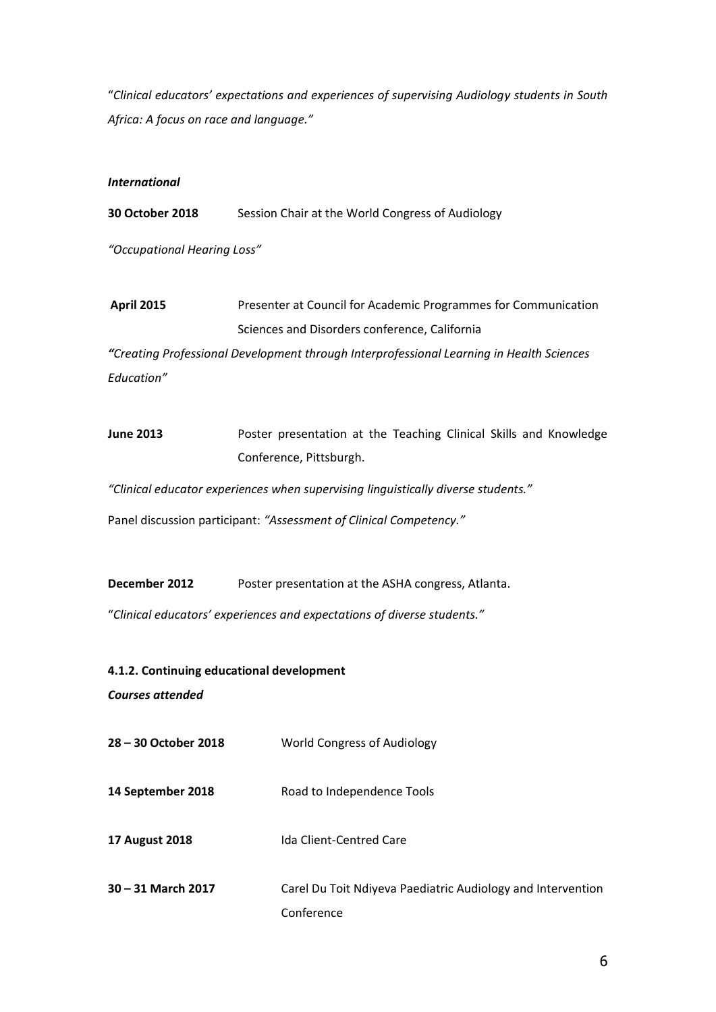"*Clinical educators' expectations and experiences of supervising Audiology students in South Africa: A focus on race and language."*

### *International*

**30 October 2018** Session Chair at the World Congress of Audiology

*"Occupational Hearing Loss"*

**April 2015** Presenter at Council for Academic Programmes for Communication Sciences and Disorders conference, California

*"Creating Professional Development through Interprofessional Learning in Health Sciences Education"*

**June 2013** Poster presentation at the Teaching Clinical Skills and Knowledge Conference, Pittsburgh.

*"Clinical educator experiences when supervising linguistically diverse students."*

Panel discussion participant: *"Assessment of Clinical Competency."*

**December 2012** Poster presentation at the ASHA congress, Atlanta.

"*Clinical educators' experiences and expectations of diverse students."*

**4.1.2. Continuing educational development**

*Courses attended*

**28 – 30 October 2018** World Congress of Audiology

**14 September 2018** Road to Independence Tools

**17 August 2018** Ida Client-Centred Care

**30 – 31 March 2017** Carel Du Toit Ndiyeva Paediatric Audiology and Intervention Conference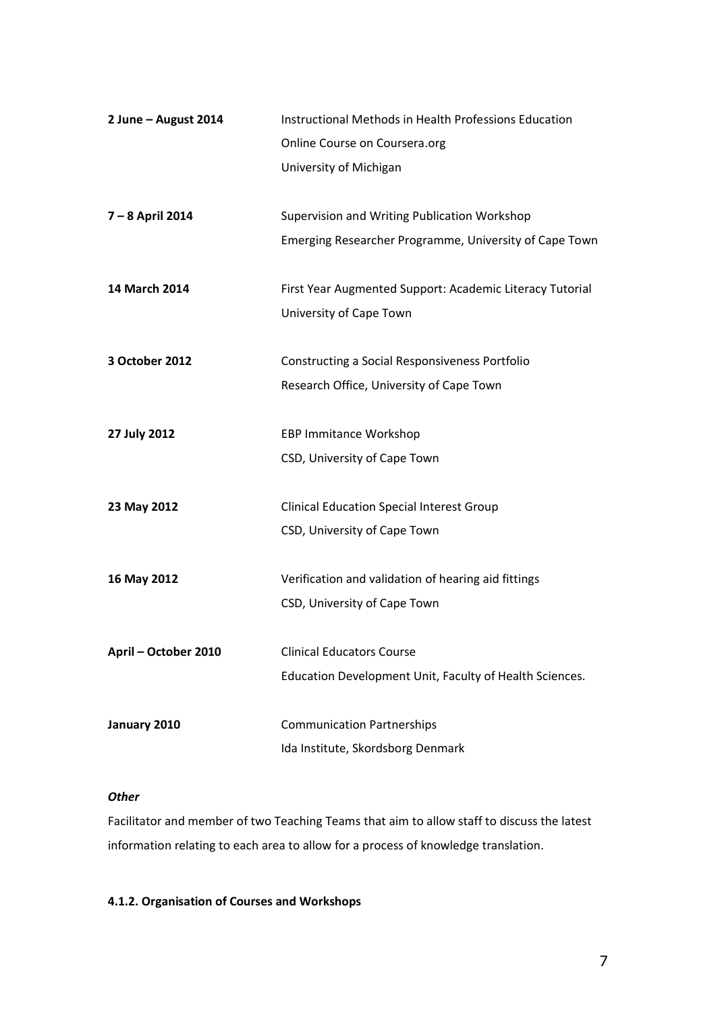| 2 June - August 2014 | Instructional Methods in Health Professions Education    |
|----------------------|----------------------------------------------------------|
|                      | Online Course on Coursera.org                            |
|                      | University of Michigan                                   |
| 7 - 8 April 2014     | Supervision and Writing Publication Workshop             |
|                      | Emerging Researcher Programme, University of Cape Town   |
| 14 March 2014        | First Year Augmented Support: Academic Literacy Tutorial |
|                      | University of Cape Town                                  |
| 3 October 2012       | <b>Constructing a Social Responsiveness Portfolio</b>    |
|                      | Research Office, University of Cape Town                 |
| 27 July 2012         | <b>EBP Immitance Workshop</b>                            |
|                      | CSD, University of Cape Town                             |
| 23 May 2012          | <b>Clinical Education Special Interest Group</b>         |
|                      | CSD, University of Cape Town                             |
| 16 May 2012          | Verification and validation of hearing aid fittings      |
|                      | CSD, University of Cape Town                             |
| April – October 2010 | <b>Clinical Educators Course</b>                         |
|                      | Education Development Unit, Faculty of Health Sciences.  |
| January 2010         | <b>Communication Partnerships</b>                        |
|                      | Ida Institute, Skordsborg Denmark                        |

# *Other*

Facilitator and member of two Teaching Teams that aim to allow staff to discuss the latest information relating to each area to allow for a process of knowledge translation.

# **4.1.2. Organisation of Courses and Workshops**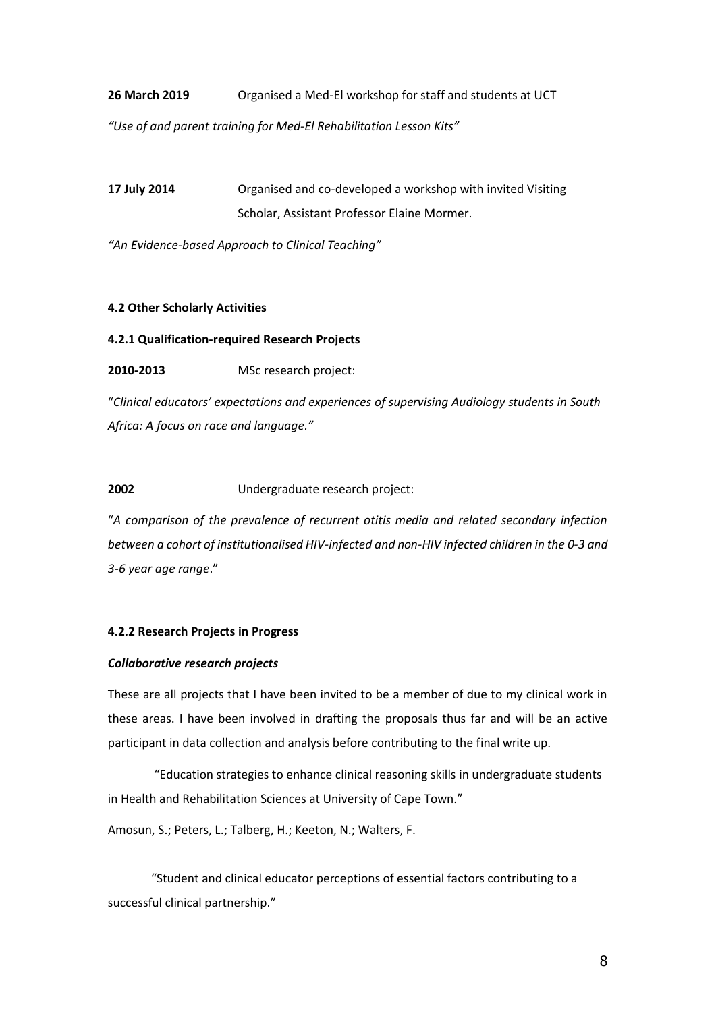**26 March 2019** Organised a Med-El workshop for staff and students at UCT

*"Use of and parent training for Med-El Rehabilitation Lesson Kits"*

**17 July 2014** Organised and co-developed a workshop with invited Visiting Scholar, Assistant Professor Elaine Mormer.

*"An Evidence-based Approach to Clinical Teaching"*

## **4.2 Other Scholarly Activities**

## **4.2.1 Qualification-required Research Projects**

**2010-2013** MSc research project:

"*Clinical educators' expectations and experiences of supervising Audiology students in South Africa: A focus on race and language."*

# **2002** Undergraduate research project:

"*A comparison of the prevalence of recurrent otitis media and related secondary infection between a cohort of institutionalised HIV-infected and non-HIV infected children in the 0-3 and 3-6 year age range*."

## **4.2.2 Research Projects in Progress**

## *Collaborative research projects*

These are all projects that I have been invited to be a member of due to my clinical work in these areas. I have been involved in drafting the proposals thus far and will be an active participant in data collection and analysis before contributing to the final write up.

"Education strategies to enhance clinical reasoning skills in undergraduate students in Health and Rehabilitation Sciences at University of Cape Town."

Amosun, S.; Peters, L.; Talberg, H.; Keeton, N.; Walters, F.

"Student and clinical educator perceptions of essential factors contributing to a successful clinical partnership."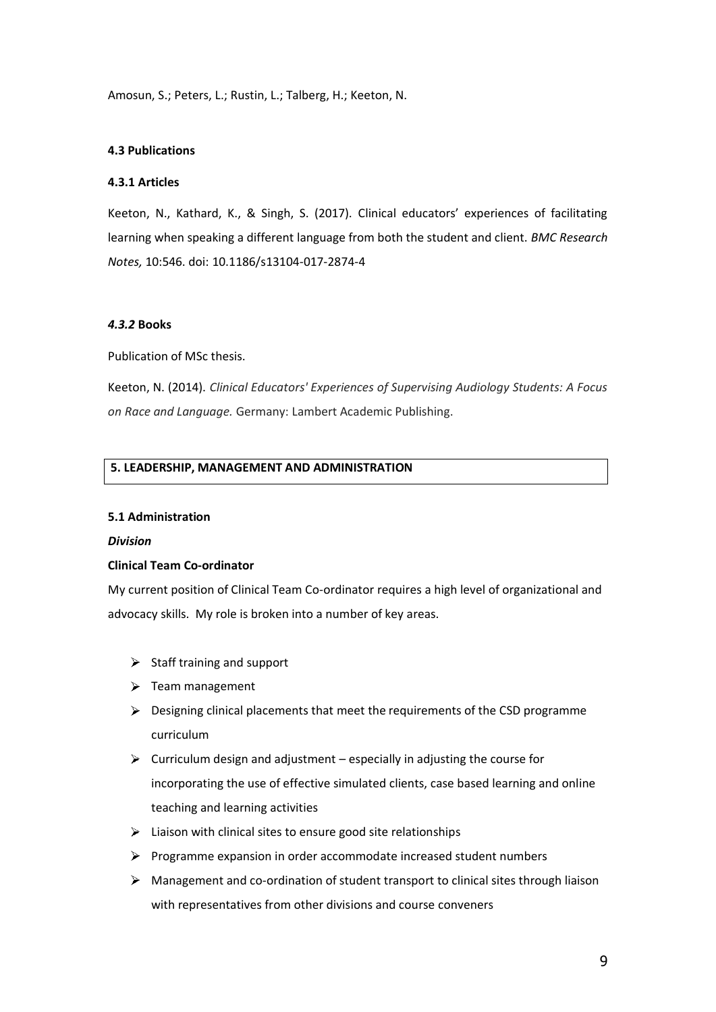Amosun, S.; Peters, L.; Rustin, L.; Talberg, H.; Keeton, N.

## **4.3 Publications**

# **4.3.1 Articles**

Keeton, N., Kathard, K., & Singh, S. (2017). Clinical educators' experiences of facilitating learning when speaking a different language from both the student and client. *BMC Research Notes,* 10:546. doi: 10.1186/s13104-017-2874-4

## *4.3.2* **Books**

Publication of MSc thesis.

Keeton, N. (2014). *Clinical Educators' Experiences of Supervising Audiology Students: A Focus on Race and Language.* Germany: Lambert Academic Publishing.

# **5. LEADERSHIP, MANAGEMENT AND ADMINISTRATION**

## **5.1 Administration**

## *Division*

## **Clinical Team Co-ordinator**

My current position of Clinical Team Co-ordinator requires a high level of organizational and advocacy skills. My role is broken into a number of key areas.

- $\triangleright$  Staff training and support
- $\triangleright$  Team management
- $\triangleright$  Designing clinical placements that meet the requirements of the CSD programme curriculum
- $\triangleright$  Curriculum design and adjustment especially in adjusting the course for incorporating the use of effective simulated clients, case based learning and online teaching and learning activities
- $\triangleright$  Liaison with clinical sites to ensure good site relationships
- $\triangleright$  Programme expansion in order accommodate increased student numbers
- Management and co-ordination of student transport to clinical sites through liaison with representatives from other divisions and course conveners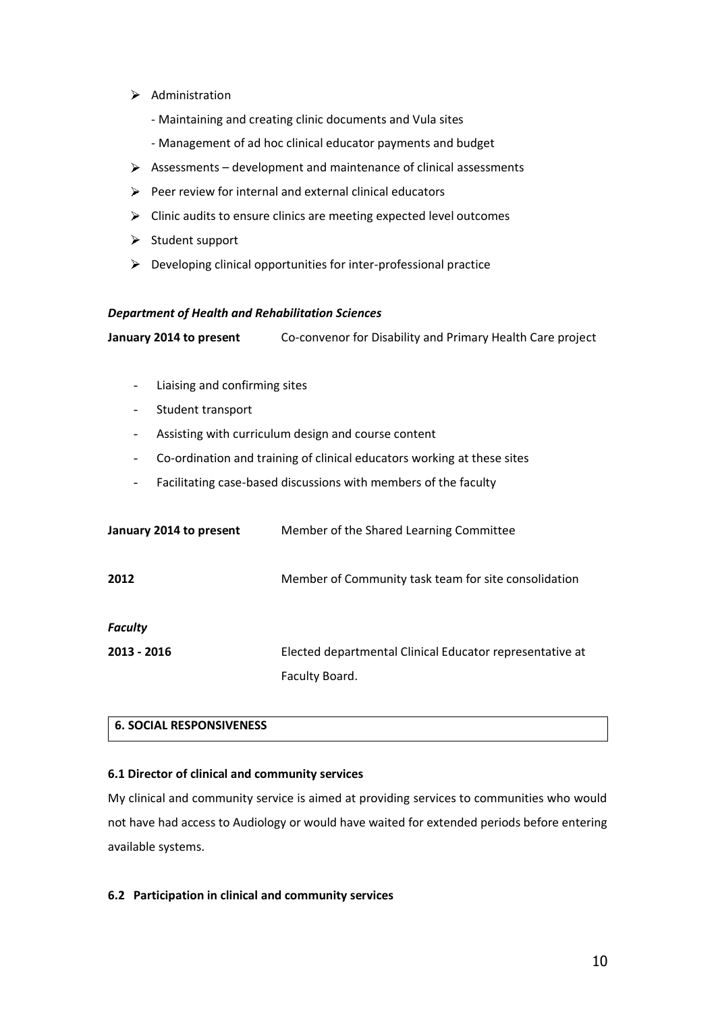- $\triangleright$  Administration
	- Maintaining and creating clinic documents and Vula sites
	- Management of ad hoc clinical educator payments and budget
- $\triangleright$  Assessments development and maintenance of clinical assessments
- $\triangleright$  Peer review for internal and external clinical educators
- $\triangleright$  Clinic audits to ensure clinics are meeting expected level outcomes
- $\triangleright$  Student support
- $\triangleright$  Developing clinical opportunities for inter-professional practice

### *Department of Health and Rehabilitation Sciences*

**January 2014 to present** Co-convenor for Disability and Primary Health Care project

- Liaising and confirming sites
- Student transport
- Assisting with curriculum design and course content
- Co-ordination and training of clinical educators working at these sites
- Facilitating case-based discussions with members of the faculty

| January 2014 to present | Member of the Shared Learning Committee                  |
|-------------------------|----------------------------------------------------------|
| 2012                    | Member of Community task team for site consolidation     |
| <b>Faculty</b>          |                                                          |
| 2013 - 2016             | Elected departmental Clinical Educator representative at |
|                         | Faculty Board.                                           |

# **6. SOCIAL RESPONSIVENESS**

## **6.1 Director of clinical and community services**

My clinical and community service is aimed at providing services to communities who would not have had access to Audiology or would have waited for extended periods before entering available systems.

## **6.2 Participation in clinical and community services**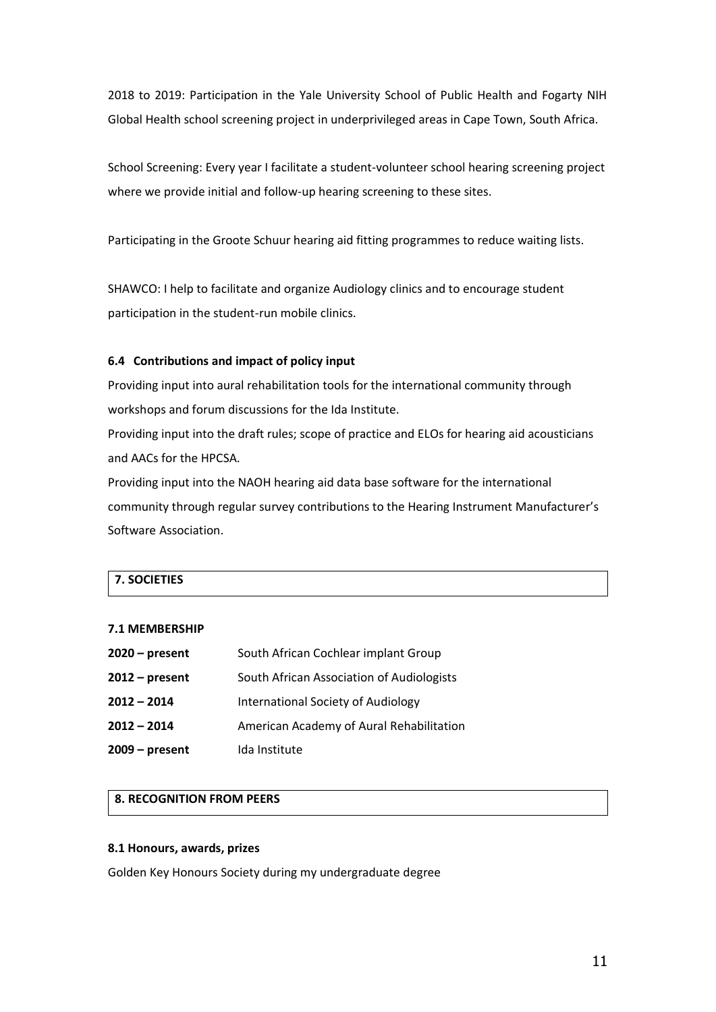2018 to 2019: Participation in the Yale University School of Public Health and Fogarty NIH Global Health school screening project in underprivileged areas in Cape Town, South Africa.

School Screening: Every year I facilitate a student-volunteer school hearing screening project where we provide initial and follow-up hearing screening to these sites.

Participating in the Groote Schuur hearing aid fitting programmes to reduce waiting lists.

SHAWCO: I help to facilitate and organize Audiology clinics and to encourage student participation in the student-run mobile clinics.

# **6.4 Contributions and impact of policy input**

Providing input into aural rehabilitation tools for the international community through workshops and forum discussions for the Ida Institute.

Providing input into the draft rules; scope of practice and ELOs for hearing aid acousticians and AACs for the HPCSA.

Providing input into the NAOH hearing aid data base software for the international community through regular survey contributions to the Hearing Instrument Manufacturer's Software Association.

# **7. SOCIETIES**

### **7.1 MEMBERSHIP**

| South African Cochlear implant Group      |
|-------------------------------------------|
| South African Association of Audiologists |
| International Society of Audiology        |
| American Academy of Aural Rehabilitation  |
| Ida Institute                             |
|                                           |

# **8. RECOGNITION FROM PEERS**

#### **8.1 Honours, awards, prizes**

Golden Key Honours Society during my undergraduate degree